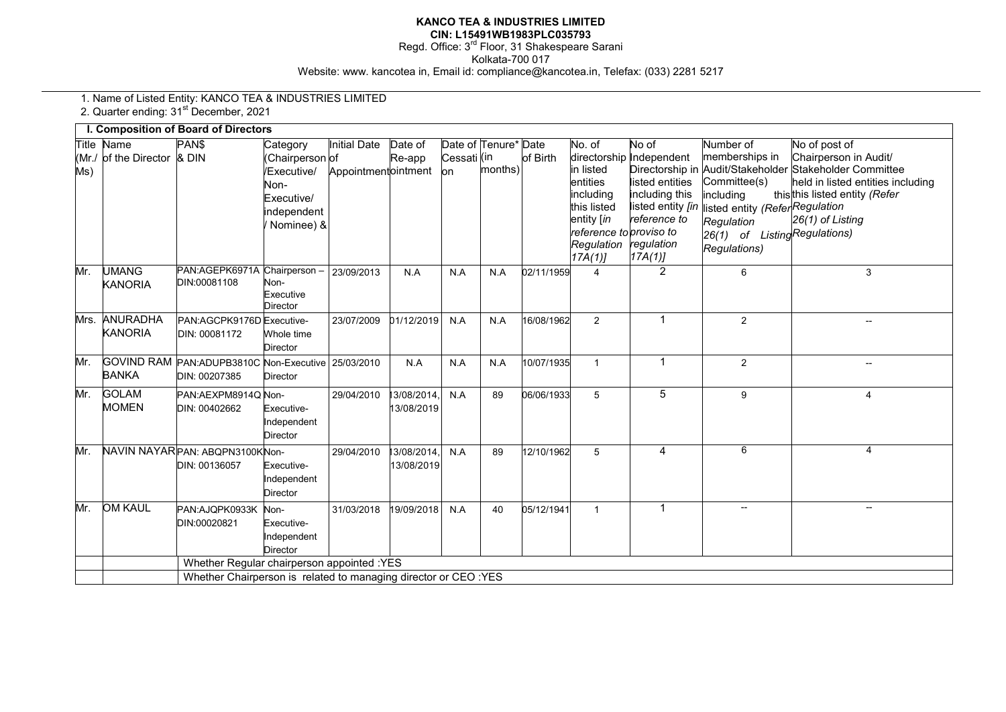## **KANCO TEA & INDUSTRIES LIMITED**

**CIN: L15491WB1983PLC035793** 

Regd. Office: 3<sup>rd</sup> Floor, 31 Shakespeare Sarani Kolkata-700 017 Website: www. kancotea in, Email id: compliance@kancotea.in, Telefax: (033) 2281 5217

1. Name of Listed Entity: KANCO TEA & INDUSTRIES LIMITED

2. Quarter ending: 31<sup>st</sup> December, 2021

|              |                                 | <b>I. Composition of Board of Directors</b>              |                                                                                                               |                                     |                           |                    |                                 |            |                                                                                                                              |                                                                                                                                      |                                                                                                                                                         |                                                                                                                                                                                             |
|--------------|---------------------------------|----------------------------------------------------------|---------------------------------------------------------------------------------------------------------------|-------------------------------------|---------------------------|--------------------|---------------------------------|------------|------------------------------------------------------------------------------------------------------------------------------|--------------------------------------------------------------------------------------------------------------------------------------|---------------------------------------------------------------------------------------------------------------------------------------------------------|---------------------------------------------------------------------------------------------------------------------------------------------------------------------------------------------|
| Title<br>Ms) | Name<br>Mr./ of the Director    | PAN\$<br>& DIN                                           | Category<br>Chairperson of<br>Executive/<br>Non-<br>Executive/<br>ndependent<br>Nominee) &                    | Initial Date<br>Appointmentointment | Date of<br>Re-app         | Cessati (in<br>lon | Date of Tenure* Date<br>months) | of Birth   | No. of<br>in listed<br>entities<br>includina<br>this listed<br>entity [in<br>reference to proviso to<br>Regulation<br>17A(1) | No of<br>directorship Independent<br>listed entities<br>including this<br>listed entity [in<br>reference to<br>regulation<br>17A(1)] | Number of<br>memberships in<br>Committee(s)<br>including<br>isted entity (ReferRegulation<br>Regulation<br>26(1) of ListingRegulations)<br>Regulations) | No of post of<br>Chairperson in Audit/<br>Directorship in Audit/Stakeholder Stakeholder Committee<br>held in listed entities including<br>thisthis listed entity (Refer<br>26(1) of Listing |
| Mr.          | <b>UMANG</b><br><b>KANORIA</b>  | PAN:AGEPK6971A<br>DIN:00081108                           | Chairperson -<br>Non-<br>Executive<br>Director                                                                | 23/09/2013                          | N.A                       | N.A                | N.A                             | 02/11/1959 | 4                                                                                                                            | $\overline{2}$                                                                                                                       | 6                                                                                                                                                       | 3                                                                                                                                                                                           |
|              | Mrs. ANURADHA<br><b>KANORIA</b> | PAN:AGCPK9176D Executive-<br>DIN: 00081172               | Whole time<br><b>Director</b>                                                                                 | 23/07/2009                          | 01/12/2019                | N.A                | N.A                             | 16/08/1962 | 2                                                                                                                            | $\mathbf 1$                                                                                                                          | $\overline{2}$                                                                                                                                          | $-$                                                                                                                                                                                         |
| Mr.          | <b>BANKA</b>                    | GOVIND RAM PAN:ADUPB3810C Non-Executive<br>DIN: 00207385 | Director                                                                                                      | 25/03/2010                          | N.A                       | N.A                | N.A                             | 10/07/1935 | $\mathbf{1}$                                                                                                                 | $\mathbf{1}$                                                                                                                         | 2                                                                                                                                                       | --                                                                                                                                                                                          |
| Mr.          | <b>GOLAM</b><br><b>MOMEN</b>    | PAN:AEXPM8914Q Non-<br>DIN: 00402662                     | Executive-<br>ndependent<br>Director                                                                          | 29/04/2010                          | 13/08/2014.<br>13/08/2019 | N.A                | 89                              | 06/06/1933 | 5                                                                                                                            | 5                                                                                                                                    | 9                                                                                                                                                       | 4                                                                                                                                                                                           |
| Mr.          |                                 | NAVIN NAYAR PAN: ABQPN3100KNon-<br>DIN: 00136057         | Executive-<br>ndependent<br><b>Director</b>                                                                   | 29/04/2010                          | 13/08/2014,<br>13/08/2019 | N.A                | 89                              | 12/10/1962 | $\overline{5}$                                                                                                               | 4                                                                                                                                    | 6                                                                                                                                                       | 4                                                                                                                                                                                           |
| Mr.          | <b>OM KAUL</b>                  | PAN: AJQPK0933K<br>DIN:00020821                          | Non-<br>Executive-<br>Independent<br><b>Director</b>                                                          | 31/03/2018                          | 19/09/2018                | N.A                | 40                              | 05/12/1941 | $\overline{1}$                                                                                                               | 1                                                                                                                                    |                                                                                                                                                         | --                                                                                                                                                                                          |
|              |                                 |                                                          | Whether Regular chairperson appointed :YES<br>Whether Chairperson is related to managing director or CEO :YES |                                     |                           |                    |                                 |            |                                                                                                                              |                                                                                                                                      |                                                                                                                                                         |                                                                                                                                                                                             |
|              |                                 |                                                          |                                                                                                               |                                     |                           |                    |                                 |            |                                                                                                                              |                                                                                                                                      |                                                                                                                                                         |                                                                                                                                                                                             |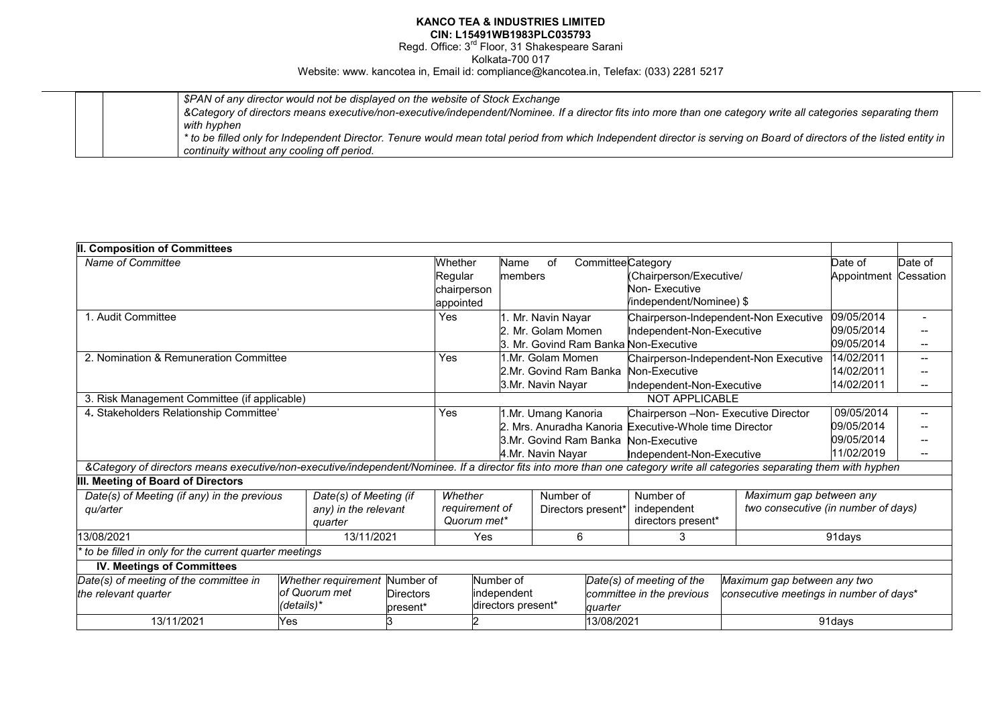## **KANCO TEA & INDUSTRIES LIMITED CIN: L15491WB1983PLC035793**

Regd. Office: 3<sup>rd</sup> Floor, 31 Shakespeare Sarani

Kolkata-700 017

Website: www. kancotea in, Email id: compliance@kancotea.in, Telefax: (033) 2281 5217

| \$PAN of any director would not be displayed on the website of Stock Exchange                                                                                         |
|-----------------------------------------------------------------------------------------------------------------------------------------------------------------------|
| &Category of directors means executive/non-executive/independent/Nominee. If a director fits into more than one category write all categories separating them         |
| with hyphen                                                                                                                                                           |
| * to be filled only for Independent Director. Tenure would mean total period from which Independent director is serving on Board of directors of the listed entity in |
| continuity without any cooling off period.                                                                                                                            |

| II. Composition of Committees                                                                                                                                             |            |                               |                  |                   |                     |                    |                        |                                      |                                                       |                                         |                          |         |
|---------------------------------------------------------------------------------------------------------------------------------------------------------------------------|------------|-------------------------------|------------------|-------------------|---------------------|--------------------|------------------------|--------------------------------------|-------------------------------------------------------|-----------------------------------------|--------------------------|---------|
| Name of Committee                                                                                                                                                         |            |                               |                  | Whether           | Name                | of                 |                        |                                      | CommitteeCategory                                     |                                         | Date of                  | Date of |
|                                                                                                                                                                           |            |                               | Regular          |                   | members             |                    |                        | (Chairperson/Executive/              |                                                       | Appointment                             | Cessation                |         |
|                                                                                                                                                                           |            |                               | chairperson      |                   |                     |                    |                        | Non-Executive                        |                                                       |                                         |                          |         |
|                                                                                                                                                                           |            |                               |                  | appointed         |                     |                    |                        |                                      | /independent/Nominee) \$                              |                                         |                          |         |
| 1. Audit Committee                                                                                                                                                        |            |                               |                  | <b>Yes</b>        |                     | 1. Mr. Navin Nayar |                        |                                      | Chairperson-Independent-Non Executive                 | 09/05/2014                              |                          |         |
|                                                                                                                                                                           |            |                               |                  |                   |                     |                    | 2. Mr. Golam Momen     |                                      | Independent-Non-Executive                             |                                         | 09/05/2014               |         |
|                                                                                                                                                                           |            |                               |                  |                   |                     |                    |                        |                                      | 3. Mr. Govind Ram Banka Non-Executive                 |                                         | 09/05/2014               |         |
| 2. Nomination & Remuneration Committee                                                                                                                                    |            |                               |                  | Yes               |                     | 1.Mr. Golam Momen  |                        |                                      | Chairperson-Independent-Non Executive                 | 14/02/2011                              | $\overline{\phantom{a}}$ |         |
|                                                                                                                                                                           |            |                               |                  |                   |                     |                    | 2.Mr. Govind Ram Banka |                                      | Non-Executive                                         |                                         | 14/02/2011               |         |
|                                                                                                                                                                           |            |                               |                  | 3.Mr. Navin Nayar |                     |                    |                        | Independent-Non-Executive            |                                                       | 14/02/2011                              |                          |         |
| 3. Risk Management Committee (if applicable)                                                                                                                              |            |                               |                  |                   |                     |                    |                        |                                      | <b>NOT APPLICABLE</b>                                 |                                         |                          |         |
| 4. Stakeholders Relationship Committee'                                                                                                                                   |            |                               | <b>Yes</b>       |                   | I.Mr. Umang Kanoria |                    |                        | Chairperson -Non- Executive Director | 09/05/2014                                            |                                         |                          |         |
|                                                                                                                                                                           |            |                               |                  |                   |                     |                    |                        |                                      | . Mrs. Anuradha Kanoria Executive-Whole time Director |                                         | 09/05/2014               |         |
|                                                                                                                                                                           |            |                               |                  |                   |                     |                    | 3.Mr. Govind Ram Banka |                                      | Non-Executive                                         |                                         | 09/05/2014               |         |
|                                                                                                                                                                           |            |                               |                  |                   |                     | 4.Mr. Navin Nayar  |                        |                                      | Independent-Non-Executive                             |                                         | 11/02/2019               |         |
| &Category of directors means executive/non-executive/independent/Nominee. If a director fits into more than one category write all categories separating them with hyphen |            |                               |                  |                   |                     |                    |                        |                                      |                                                       |                                         |                          |         |
| III. Meeting of Board of Directors                                                                                                                                        |            |                               |                  |                   |                     |                    |                        |                                      |                                                       |                                         |                          |         |
| Date(s) of Meeting (if any) in the previous                                                                                                                               |            | Date(s) of Meeting (if        |                  | Whether           |                     |                    | Number of              |                                      | Number of                                             | Maximum gap between any                 |                          |         |
| qu/arter                                                                                                                                                                  |            | any) in the relevant          |                  | requirement of    |                     |                    | Directors present*     |                                      | independent                                           | two consecutive (in number of days)     |                          |         |
|                                                                                                                                                                           |            | quarter                       |                  | Quorum met*       |                     |                    |                        |                                      | directors present*                                    |                                         |                          |         |
| 13/08/2021                                                                                                                                                                |            | 13/11/2021                    |                  |                   | Yes                 | 6                  |                        | 3                                    |                                                       |                                         | 91 days                  |         |
| to be filled in only for the current quarter meetings                                                                                                                     |            |                               |                  |                   |                     |                    |                        |                                      |                                                       |                                         |                          |         |
| <b>IV. Meetings of Committees</b>                                                                                                                                         |            |                               |                  |                   |                     |                    |                        |                                      |                                                       |                                         |                          |         |
| Date(s) of meeting of the committee in                                                                                                                                    |            | Whether requirement Number of |                  |                   | Number of           |                    |                        |                                      | Date(s) of meeting of the                             | Maximum gap between any two             |                          |         |
| the relevant quarter                                                                                                                                                      |            | of Quorum met                 | <b>Directors</b> |                   | independent         |                    |                        |                                      | committee in the previous                             | consecutive meetings in number of days* |                          |         |
|                                                                                                                                                                           | (details)* |                               | present*         |                   | directors present*  |                    |                        | quarter                              |                                                       |                                         |                          |         |
| 13/11/2021                                                                                                                                                                | Yes        |                               |                  |                   |                     |                    |                        | 13/08/2021                           |                                                       | 91days                                  |                          |         |